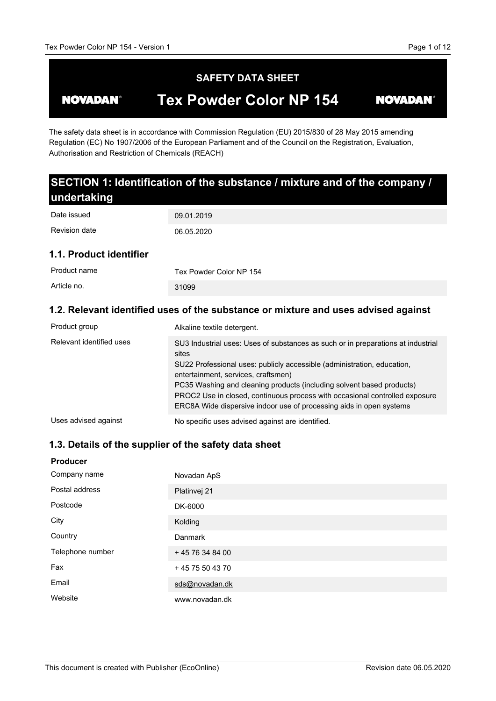#### **SAFETY DATA SHEET Tex Powder Color NP 154 NOVADAN® NOVADAN®**

The safety data sheet is in accordance with Commission Regulation (EU) 2015/830 of 28 May 2015 amending Regulation (EC) No 1907/2006 of the European Parliament and of the Council on the Registration, Evaluation, Authorisation and Restriction of Chemicals (REACH)

#### **SECTION 1: Identification of the substance / mixture and of the company / undertaking 1.1. Product identifier** 09.01.2019 06.05.2020 Tex Powder Color NP 154 31099 Date issued Revision date Product name Article no.

### **1.2. Relevant identified uses of the substance or mixture and uses advised against**

| Product group            | Alkaline textile detergent.                                                                                                                                                                                                                                                                                                                                                                                                                |
|--------------------------|--------------------------------------------------------------------------------------------------------------------------------------------------------------------------------------------------------------------------------------------------------------------------------------------------------------------------------------------------------------------------------------------------------------------------------------------|
| Relevant identified uses | SU3 Industrial uses: Uses of substances as such or in preparations at industrial<br>sites<br>SU22 Professional uses: publicly accessible (administration, education,<br>entertainment, services, craftsmen)<br>PC35 Washing and cleaning products (including solvent based products)<br>PROC2 Use in closed, continuous process with occasional controlled exposure<br>ERC8A Wide dispersive indoor use of processing aids in open systems |
| Uses advised against     | No specific uses advised against are identified.                                                                                                                                                                                                                                                                                                                                                                                           |

## **1.3. Details of the supplier of the safety data sheet**

| <b>Producer</b>  |                  |
|------------------|------------------|
| Company name     | Novadan ApS      |
| Postal address   | Platinvej 21     |
| Postcode         | DK-6000          |
| City             | Kolding          |
| Country          | <b>Danmark</b>   |
| Telephone number | +45 76 34 84 00  |
| Fax              | + 45 75 50 43 70 |
| Email            | sds@novadan.dk   |
| Website          | www.novadan.dk   |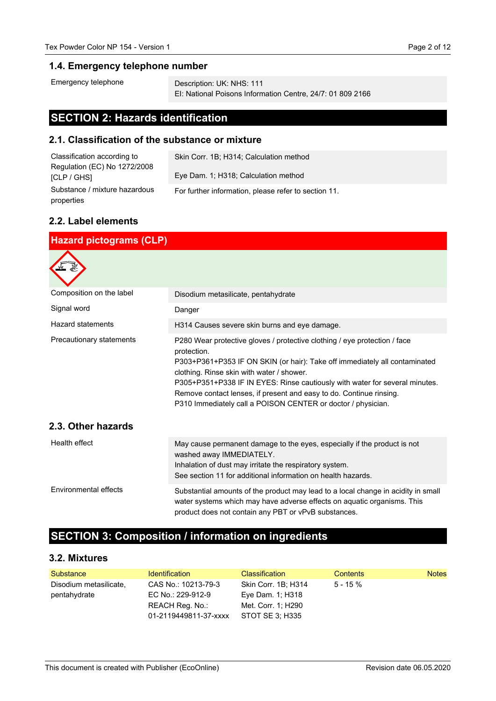#### **1.4. Emergency telephone number**

```
Emergency telephone
```
Description: UK: NHS: 111 EI: National Poisons Information Centre, 24/7: 01 809 2166

## **SECTION 2: Hazards identification**

#### **2.1. Classification of the substance or mixture**

| Classification according to   | Skin Corr. 1B; H314; Calculation method              |
|-------------------------------|------------------------------------------------------|
| Regulation (EC) No 1272/2008  |                                                      |
| <b>ICLP / GHSI</b>            | Eye Dam. 1; H318; Calculation method                 |
| Substance / mixture hazardous | For further information, please refer to section 11. |
| properties                    |                                                      |

#### **2.2. Label elements**

| <b>Hazard pictograms (CLP)</b>                 |                                                                                                                                                                                                                                                                                                                                                                                                                                           |  |
|------------------------------------------------|-------------------------------------------------------------------------------------------------------------------------------------------------------------------------------------------------------------------------------------------------------------------------------------------------------------------------------------------------------------------------------------------------------------------------------------------|--|
|                                                |                                                                                                                                                                                                                                                                                                                                                                                                                                           |  |
| Composition on the label                       | Disodium metasilicate, pentahydrate                                                                                                                                                                                                                                                                                                                                                                                                       |  |
| Signal word                                    | Danger                                                                                                                                                                                                                                                                                                                                                                                                                                    |  |
| Hazard statements                              | H314 Causes severe skin burns and eye damage.                                                                                                                                                                                                                                                                                                                                                                                             |  |
| Precautionary statements<br>2.3. Other hazards | P280 Wear protective gloves / protective clothing / eye protection / face<br>protection.<br>P303+P361+P353 IF ON SKIN (or hair): Take off immediately all contaminated<br>clothing. Rinse skin with water / shower.<br>P305+P351+P338 IF IN EYES: Rinse cautiously with water for several minutes.<br>Remove contact lenses, if present and easy to do. Continue rinsing.<br>P310 Immediately call a POISON CENTER or doctor / physician. |  |
| Health effect                                  | May cause permanent damage to the eyes, especially if the product is not<br>washed away IMMEDIATELY.<br>Inhalation of dust may irritate the respiratory system.<br>See section 11 for additional information on health hazards.                                                                                                                                                                                                           |  |
| Environmental effects                          | Substantial amounts of the product may lead to a local change in acidity in small<br>water systems which may have adverse effects on aquatic organisms. This<br>product does not contain any PBT or vPvB substances.                                                                                                                                                                                                                      |  |

## **SECTION 3: Composition / information on ingredients**

#### **3.2. Mixtures**

| Substance                              | <b>Identification</b>                                                                | <b>Classification</b>                                                            | Contents    | <b>Notes</b> |
|----------------------------------------|--------------------------------------------------------------------------------------|----------------------------------------------------------------------------------|-------------|--------------|
| Disodium metasilicate,<br>pentahydrate | CAS No.: 10213-79-3<br>EC No.: 229-912-9<br>REACH Reg. No.:<br>01-2119449811-37-xxxx | Skin Corr. 1B; H314<br>Eye Dam. 1; H318<br>Met. Corr. 1: H290<br>STOT SE 3: H335 | $5 - 15 \%$ |              |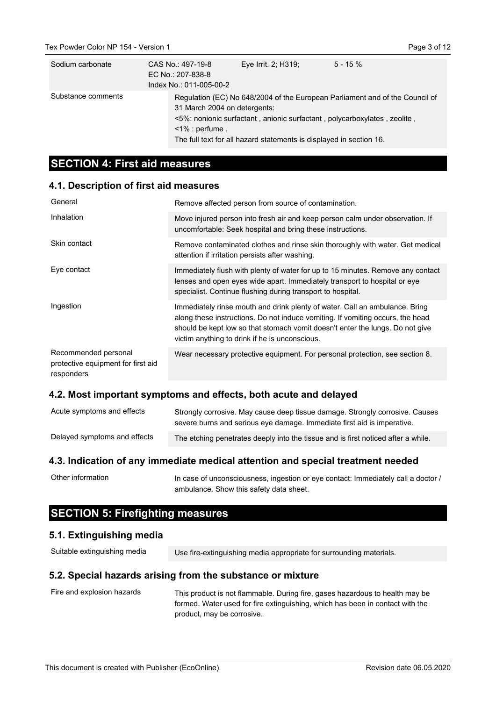| Sodium carbonate   | CAS No.: 497-19-8<br>EC No.: 207-838-8<br>Index No.: 011-005-00-2 | Eye Irrit. 2; H319;                                                                                                                             | $5 - 15 \%$                                                                  |
|--------------------|-------------------------------------------------------------------|-------------------------------------------------------------------------------------------------------------------------------------------------|------------------------------------------------------------------------------|
| Substance comments | 31 March 2004 on detergents:<br>$\leq$ 1% : perfume.              | <5%: nonionic surfactant, anionic surfactant, polycarboxylates, zeolite,<br>The full text for all hazard statements is displayed in section 16. | Regulation (EC) No 648/2004 of the European Parliament and of the Council of |

## **SECTION 4: First aid measures**

#### **4.1. Description of first aid measures**

| General                                                                  | Remove affected person from source of contamination.                                                                                                                                                                                                                                             |  |
|--------------------------------------------------------------------------|--------------------------------------------------------------------------------------------------------------------------------------------------------------------------------------------------------------------------------------------------------------------------------------------------|--|
| Inhalation                                                               | Move injured person into fresh air and keep person calm under observation. If<br>uncomfortable: Seek hospital and bring these instructions.                                                                                                                                                      |  |
| Skin contact                                                             | Remove contaminated clothes and rinse skin thoroughly with water. Get medical<br>attention if irritation persists after washing.                                                                                                                                                                 |  |
| Eye contact                                                              | Immediately flush with plenty of water for up to 15 minutes. Remove any contact<br>lenses and open eyes wide apart. Immediately transport to hospital or eye<br>specialist. Continue flushing during transport to hospital.                                                                      |  |
| Ingestion                                                                | Immediately rinse mouth and drink plenty of water. Call an ambulance. Bring<br>along these instructions. Do not induce vomiting. If vomiting occurs, the head<br>should be kept low so that stomach vomit doesn't enter the lungs. Do not give<br>victim anything to drink if he is unconscious. |  |
| Recommended personal<br>protective equipment for first aid<br>responders | Wear necessary protective equipment. For personal protection, see section 8.                                                                                                                                                                                                                     |  |

#### **4.2. Most important symptoms and effects, both acute and delayed**

| Acute symptoms and effects   | Strongly corrosive. May cause deep tissue damage. Strongly corrosive. Causes<br>severe burns and serious eye damage. Immediate first aid is imperative. |
|------------------------------|---------------------------------------------------------------------------------------------------------------------------------------------------------|
| Delayed symptoms and effects | The etching penetrates deeply into the tissue and is first noticed after a while.                                                                       |

#### **4.3. Indication of any immediate medical attention and special treatment needed**

In case of unconsciousness, ingestion or eye contact: Immediately call a doctor / ambulance. Show this safety data sheet. Other information

## **SECTION 5: Firefighting measures**

#### **5.1. Extinguishing media**

| Suitable extinguishing media | Use fire-extinguishing media appropriate for surrounding materials. |
|------------------------------|---------------------------------------------------------------------|
|------------------------------|---------------------------------------------------------------------|

#### **5.2. Special hazards arising from the substance or mixture**

| Fire and explosion hazards | This product is not flammable. During fire, gases hazardous to health may be  |
|----------------------------|-------------------------------------------------------------------------------|
|                            | formed. Water used for fire extinguishing, which has been in contact with the |
|                            | product, may be corrosive.                                                    |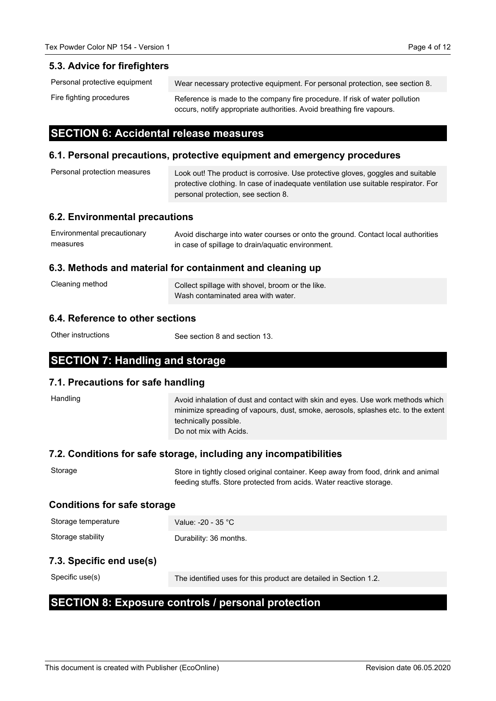#### **5.3. Advice for firefighters**

| Personal protective equipment | Wear necessary protective equipment. For personal protection, see section 8.                                                                         |
|-------------------------------|------------------------------------------------------------------------------------------------------------------------------------------------------|
| Fire fighting procedures      | Reference is made to the company fire procedure. If risk of water pollution<br>occurs, notify appropriate authorities. Avoid breathing fire vapours. |

## **SECTION 6: Accidental release measures**

#### **6.1. Personal precautions, protective equipment and emergency procedures**

| Personal protection measures | Look out! The product is corrosive. Use protective gloves, goggles and suitable<br>protective clothing. In case of inadequate ventilation use suitable respirator. For |
|------------------------------|------------------------------------------------------------------------------------------------------------------------------------------------------------------------|
|                              | personal protection, see section 8.                                                                                                                                    |

#### **6.2. Environmental precautions**

| Environmental precautionary | Avoid discharge into water courses or onto the ground. Contact local authorities |
|-----------------------------|----------------------------------------------------------------------------------|
| measures                    | in case of spillage to drain/aquatic environment.                                |

#### **6.3. Methods and material for containment and cleaning up**

| Cleaning method | Collect spillage with shovel, broom or the like. |
|-----------------|--------------------------------------------------|
|                 | Wash contaminated area with water.               |

#### **6.4. Reference to other sections**

Other instructions

See section 8 and section 13.

## **SECTION 7: Handling and storage**

#### **7.1. Precautions for safe handling**

| Handling                           | Avoid inhalation of dust and contact with skin and eyes. Use work methods which<br>minimize spreading of vapours, dust, smoke, aerosols, splashes etc. to the extent<br>technically possible.<br>Do not mix with Acids. |  |
|------------------------------------|-------------------------------------------------------------------------------------------------------------------------------------------------------------------------------------------------------------------------|--|
|                                    | 7.2. Conditions for safe storage, including any incompatibilities                                                                                                                                                       |  |
| Storage                            | Store in tightly closed original container. Keep away from food, drink and animal<br>feeding stuffs. Store protected from acids. Water reactive storage.                                                                |  |
| <b>Conditions for safe storage</b> |                                                                                                                                                                                                                         |  |
| Storage temperature                | Value: -20 - 35 °C                                                                                                                                                                                                      |  |
| Storage stability                  | Durability: 36 months.                                                                                                                                                                                                  |  |
| 7.3. Specific end use(s)           |                                                                                                                                                                                                                         |  |
| Specific use(s)                    | The identified uses for this product are detailed in Section 1.2.                                                                                                                                                       |  |

## **SECTION 8: Exposure controls / personal protection**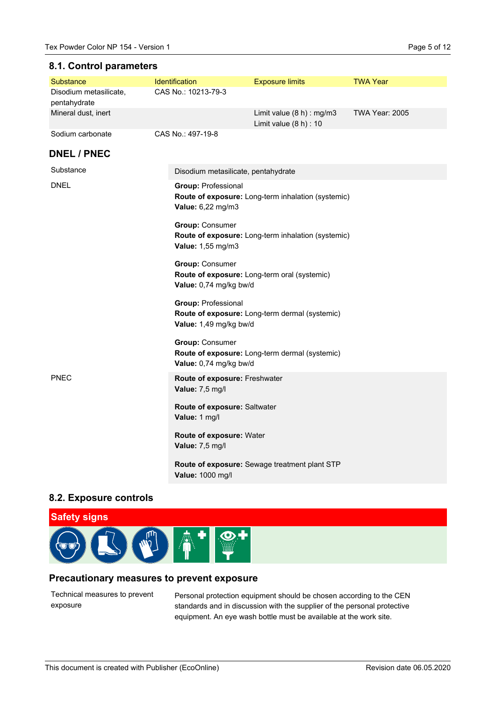#### **8.1. Control parameters**

| Substance                              | Identification                                                                                   | <b>Exposure limits</b>                                                   | <b>TWA Year</b>       |  |
|----------------------------------------|--------------------------------------------------------------------------------------------------|--------------------------------------------------------------------------|-----------------------|--|
| Disodium metasilicate,<br>pentahydrate | CAS No.: 10213-79-3                                                                              |                                                                          |                       |  |
| Mineral dust, inert                    |                                                                                                  | Limit value (8 h) : mg/m3<br>Limit value $(8 h) : 10$                    | <b>TWA Year: 2005</b> |  |
| Sodium carbonate                       | CAS No.: 497-19-8                                                                                |                                                                          |                       |  |
| <b>DNEL / PNEC</b>                     |                                                                                                  |                                                                          |                       |  |
| Substance                              | Disodium metasilicate, pentahydrate                                                              |                                                                          |                       |  |
| <b>DNEL</b>                            | <b>Group: Professional</b><br>Value: 6,22 mg/m3                                                  | Route of exposure: Long-term inhalation (systemic)                       |                       |  |
|                                        | <b>Group: Consumer</b><br>Value: 1,55 mg/m3                                                      | Route of exposure: Long-term inhalation (systemic)                       |                       |  |
|                                        | <b>Group: Consumer</b><br>Route of exposure: Long-term oral (systemic)<br>Value: 0,74 mg/kg bw/d |                                                                          |                       |  |
|                                        | <b>Group: Professional</b>                                                                       | Route of exposure: Long-term dermal (systemic)<br>Value: 1,49 mg/kg bw/d |                       |  |
|                                        | <b>Group: Consumer</b><br>Value: 0,74 mg/kg bw/d                                                 | Route of exposure: Long-term dermal (systemic)                           |                       |  |
| <b>PNEC</b>                            | Route of exposure: Freshwater<br>Value: 7,5 mg/l                                                 |                                                                          |                       |  |
|                                        | Route of exposure: Saltwater<br>Value: 1 mg/l                                                    |                                                                          |                       |  |
|                                        | Value: 7,5 mg/l                                                                                  | Route of exposure: Water                                                 |                       |  |
|                                        | Value: 1000 mg/l                                                                                 | Route of exposure: Sewage treatment plant STP                            |                       |  |

#### **8.2. Exposure controls**



#### **Precautionary measures to prevent exposure**

Technical measures to prevent exposure

Personal protection equipment should be chosen according to the CEN standards and in discussion with the supplier of the personal protective equipment. An eye wash bottle must be available at the work site.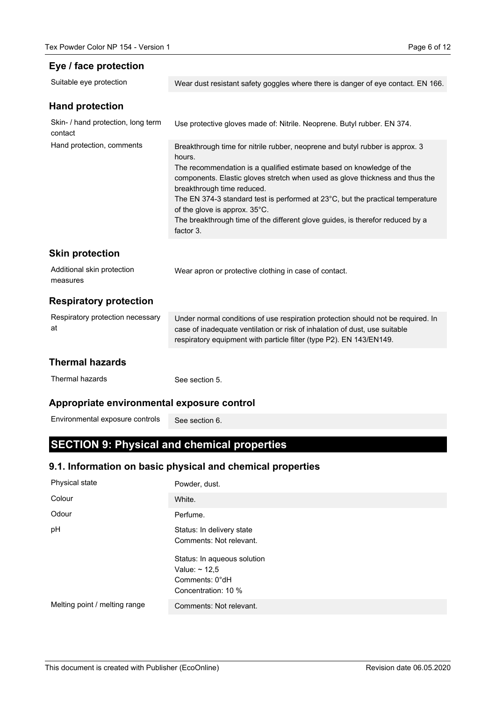#### **Eye / face protection**

| Suitable eye protection                       | Wear dust resistant safety goggles where there is danger of eye contact. EN 166.                                                                                                                                                                                                                                                                                                                                                                                                              |
|-----------------------------------------------|-----------------------------------------------------------------------------------------------------------------------------------------------------------------------------------------------------------------------------------------------------------------------------------------------------------------------------------------------------------------------------------------------------------------------------------------------------------------------------------------------|
| <b>Hand protection</b>                        |                                                                                                                                                                                                                                                                                                                                                                                                                                                                                               |
| Skin- / hand protection, long term<br>contact | Use protective gloves made of: Nitrile. Neoprene. Butyl rubber. EN 374.                                                                                                                                                                                                                                                                                                                                                                                                                       |
| Hand protection, comments                     | Breakthrough time for nitrile rubber, neoprene and butyl rubber is approx. 3<br>hours.<br>The recommendation is a qualified estimate based on knowledge of the<br>components. Elastic gloves stretch when used as glove thickness and thus the<br>breakthrough time reduced.<br>The EN 374-3 standard test is performed at 23°C, but the practical temperature<br>of the glove is approx. 35°C.<br>The breakthrough time of the different glove guides, is therefor reduced by a<br>factor 3. |
| <b>Skin protection</b>                        |                                                                                                                                                                                                                                                                                                                                                                                                                                                                                               |
| Additional skin protection<br>measures        | Wear apron or protective clothing in case of contact.                                                                                                                                                                                                                                                                                                                                                                                                                                         |
| <b>Respiratory protection</b>                 |                                                                                                                                                                                                                                                                                                                                                                                                                                                                                               |
| Respiratory protection necessary<br>at        | Under normal conditions of use respiration protection should not be required. In<br>case of inadequate ventilation or risk of inhalation of dust, use suitable<br>respiratory equipment with particle filter (type P2). EN 143/EN149.                                                                                                                                                                                                                                                         |
| <b>Thermal hazards</b>                        |                                                                                                                                                                                                                                                                                                                                                                                                                                                                                               |
| Thermal hazards                               | See section 5.                                                                                                                                                                                                                                                                                                                                                                                                                                                                                |
| Appropriate environmental exposure control    |                                                                                                                                                                                                                                                                                                                                                                                                                                                                                               |
| Environmental exposure controls               | See section 6.                                                                                                                                                                                                                                                                                                                                                                                                                                                                                |

# **SECTION 9: Physical and chemical properties**

## **9.1. Information on basic physical and chemical properties**

| Physical state                | Powder, dust.                                                                              |
|-------------------------------|--------------------------------------------------------------------------------------------|
| Colour                        | White.                                                                                     |
| Odour                         | Perfume.                                                                                   |
| pH                            | Status: In delivery state<br>Comments: Not relevant.                                       |
|                               | Status: In aqueous solution<br>Value: $\sim$ 12,5<br>Comments: 0°dH<br>Concentration: 10 % |
| Melting point / melting range | Comments: Not relevant.                                                                    |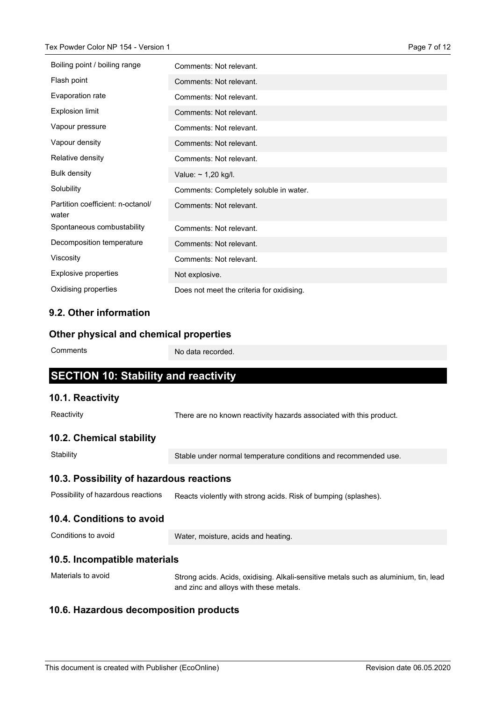| Boiling point / boiling range              | Comments: Not relevant.                   |
|--------------------------------------------|-------------------------------------------|
| Flash point                                | Comments: Not relevant.                   |
| Evaporation rate                           | Comments: Not relevant.                   |
| <b>Explosion limit</b>                     | Comments: Not relevant.                   |
| Vapour pressure                            | Comments: Not relevant.                   |
| Vapour density                             | Comments: Not relevant.                   |
| Relative density                           | Comments: Not relevant.                   |
| <b>Bulk density</b>                        | Value: $\sim$ 1,20 kg/l.                  |
| Solubility                                 | Comments: Completely soluble in water.    |
| Partition coefficient: n-octanol/<br>water | Comments: Not relevant.                   |
| Spontaneous combustability                 | Comments: Not relevant.                   |
| Decomposition temperature                  | Comments: Not relevant.                   |
| Viscosity                                  | Comments: Not relevant.                   |
| <b>Explosive properties</b>                | Not explosive.                            |
| Oxidising properties                       | Does not meet the criteria for oxidising. |

### **9.2. Other information**

#### **Other physical and chemical properties**

**Comments** 

No data recorded.

## **SECTION 10: Stability and reactivity**

#### **10.1. Reactivity**

**Reactivity** 

There are no known reactivity hazards associated with this product.

#### **10.2. Chemical stability**

**Stability** 

Stable under normal temperature conditions and recommended use.

#### **10.3. Possibility of hazardous reactions**

Reacts violently with strong acids. Risk of bumping (splashes). Possibility of hazardous reactions

#### **10.4. Conditions to avoid**

Conditions to avoid

Water, moisture, acids and heating.

#### **10.5. Incompatible materials**

Materials to avoid

Strong acids. Acids, oxidising. Alkali-sensitive metals such as aluminium, tin, lead and zinc and alloys with these metals.

#### **10.6. Hazardous decomposition products**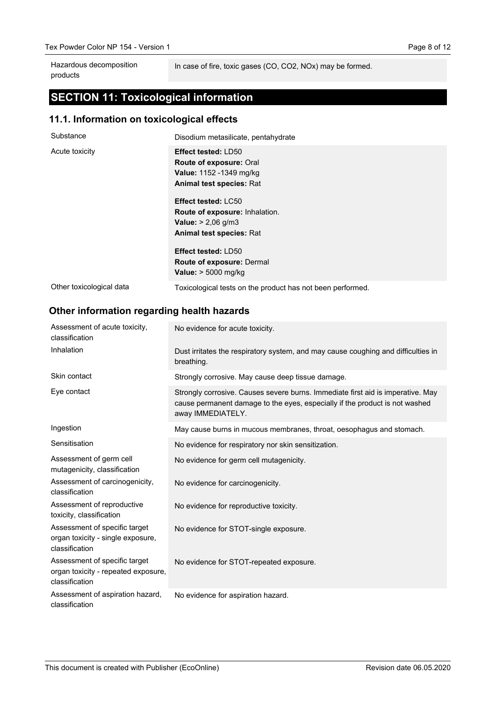In case of fire, toxic gases (CO, CO2, NOx) may be formed.

# **SECTION 11: Toxicological information**

### **11.1. Information on toxicological effects**

| Substance                | Disodium metasilicate, pentahydrate                                                                                                                      |
|--------------------------|----------------------------------------------------------------------------------------------------------------------------------------------------------|
| Acute toxicity           | <b>Effect tested: LD50</b><br><b>Route of exposure: Oral</b><br>Value: 1152 -1349 mg/kg<br><b>Animal test species: Rat</b><br><b>Effect tested: LC50</b> |
|                          | <b>Route of exposure: Inhalation.</b>                                                                                                                    |
|                          | <b>Value:</b> $> 2,06$ g/m3                                                                                                                              |
|                          | <b>Animal test species: Rat</b>                                                                                                                          |
|                          | <b>Effect tested: LD50</b>                                                                                                                               |
|                          | <b>Route of exposure: Dermal</b>                                                                                                                         |
|                          | Value: $> 5000$ mg/kg                                                                                                                                    |
| Other toxicological data | Toxicological tests on the product has not been performed.                                                                                               |

## **Other information regarding health hazards**

| Assessment of acute toxicity,<br>classification                                        | No evidence for acute toxicity.                                                                                                                                                     |
|----------------------------------------------------------------------------------------|-------------------------------------------------------------------------------------------------------------------------------------------------------------------------------------|
| Inhalation                                                                             | Dust irritates the respiratory system, and may cause coughing and difficulties in<br>breathing.                                                                                     |
| Skin contact                                                                           | Strongly corrosive. May cause deep tissue damage.                                                                                                                                   |
| Eye contact                                                                            | Strongly corrosive. Causes severe burns. Immediate first aid is imperative. May<br>cause permanent damage to the eyes, especially if the product is not washed<br>away IMMEDIATELY. |
| Ingestion                                                                              | May cause burns in mucous membranes, throat, oesophagus and stomach.                                                                                                                |
| Sensitisation                                                                          | No evidence for respiratory nor skin sensitization.                                                                                                                                 |
| Assessment of germ cell<br>mutagenicity, classification                                | No evidence for germ cell mutagenicity.                                                                                                                                             |
| Assessment of carcinogenicity,<br>classification                                       | No evidence for carcinogenicity.                                                                                                                                                    |
| Assessment of reproductive<br>toxicity, classification                                 | No evidence for reproductive toxicity.                                                                                                                                              |
| Assessment of specific target<br>organ toxicity - single exposure,<br>classification   | No evidence for STOT-single exposure.                                                                                                                                               |
| Assessment of specific target<br>organ toxicity - repeated exposure,<br>classification | No evidence for STOT-repeated exposure.                                                                                                                                             |
| Assessment of aspiration hazard,<br>classification                                     | No evidence for aspiration hazard.                                                                                                                                                  |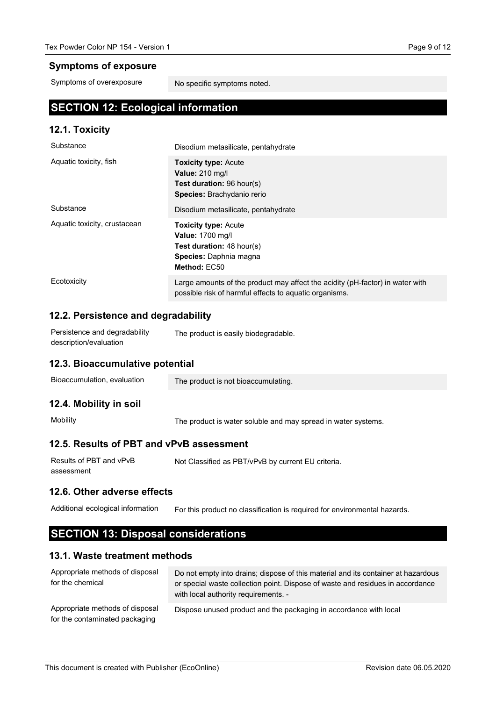#### **Symptoms of exposure**

Symptoms of overexposure

No specific symptoms noted.

## **SECTION 12: Ecological information**

#### **12.1. Toxicity**

| Substance                    | Disodium metasilicate, pentahydrate                                                                                                           |
|------------------------------|-----------------------------------------------------------------------------------------------------------------------------------------------|
| Aquatic toxicity, fish       | <b>Toxicity type: Acute</b><br><b>Value: 210 mg/l</b><br><b>Test duration: 96 hour(s)</b><br><b>Species:</b> Brachydanio rerio                |
| Substance                    | Disodium metasilicate, pentahydrate                                                                                                           |
| Aquatic toxicity, crustacean | <b>Toxicity type: Acute</b><br><b>Value: 1700 mg/l</b><br><b>Test duration:</b> $48$ hour(s)<br><b>Species:</b> Daphnia magna<br>Method: EC50 |
| Ecotoxicity                  | Large amounts of the product may affect the acidity (pH-factor) in water with<br>possible risk of harmful effects to aquatic organisms.       |

#### **12.2. Persistence and degradability**

| Persistence and degradability | The product is easily biodegradable. |
|-------------------------------|--------------------------------------|
| description/evaluation        |                                      |

#### **12.3. Bioaccumulative potential**

| Bioaccumulation, evaluation | The product is not bioaccumulating.                           |
|-----------------------------|---------------------------------------------------------------|
| 12.4. Mobility in soil      |                                                               |
| Mobility                    | The product is water soluble and may spread in water systems. |

#### **12.5. Results of PBT and vPvB assessment**

| Results of PBT and vPvB | Not Classified as PBT/vPvB by current EU criteria. |
|-------------------------|----------------------------------------------------|
| assessment              |                                                    |

#### **12.6. Other adverse effects**

For this product no classification is required for environmental hazards. Additional ecological information

## **SECTION 13: Disposal considerations**

#### **13.1. Waste treatment methods**

| Appropriate methods of disposal<br>for the chemical               | Do not empty into drains; dispose of this material and its container at hazardous<br>or special waste collection point. Dispose of waste and residues in accordance<br>with local authority requirements. - |
|-------------------------------------------------------------------|-------------------------------------------------------------------------------------------------------------------------------------------------------------------------------------------------------------|
| Appropriate methods of disposal<br>for the contaminated packaging | Dispose unused product and the packaging in accordance with local                                                                                                                                           |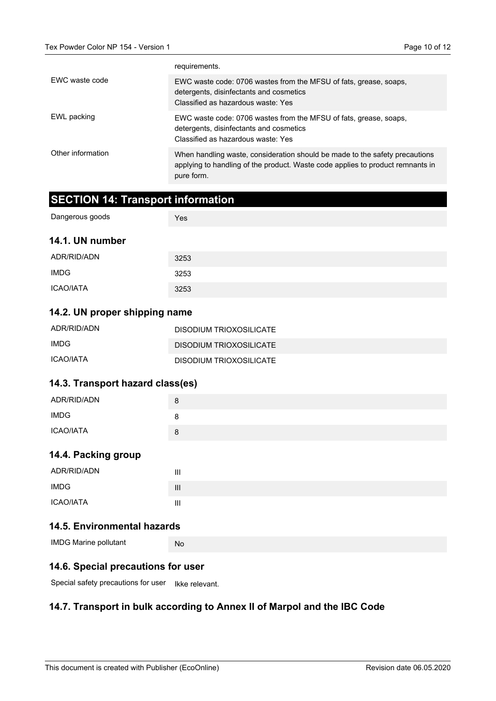|                   | requirements.                                                                                                                                                               |
|-------------------|-----------------------------------------------------------------------------------------------------------------------------------------------------------------------------|
| EWC waste code    | EWC waste code: 0706 wastes from the MFSU of fats, grease, soaps,<br>detergents, disinfectants and cosmetics<br>Classified as hazardous waste: Yes                          |
| EWL packing       | EWC waste code: 0706 wastes from the MFSU of fats, grease, soaps,<br>detergents, disinfectants and cosmetics<br>Classified as hazardous waste: Yes                          |
| Other information | When handling waste, consideration should be made to the safety precautions<br>applying to handling of the product. Waste code applies to product remnants in<br>pure form. |

## **SECTION 14: Transport information**

| Dangerous goods  | Yes  |
|------------------|------|
| 14.1. UN number  |      |
| ADR/RID/ADN      | 3253 |
| <b>IMDG</b>      | 3253 |
| <b>ICAO/IATA</b> | 3253 |

#### **14.2. UN proper shipping name**

| ADR/RID/ADN | DISODIUM TRIOXOSILICATE |
|-------------|-------------------------|
| IMDG        | DISODIUM TRIOXOSILICATE |
| ICAO/IATA   | DISODIUM TRIOXOSILICATE |

#### **14.3. Transport hazard class(es)**

| ADR/RID/ADN | 8 |
|-------------|---|
| <b>IMDG</b> | ŏ |
| ICAO/IATA   | 8 |

### **14.4. Packing group**

| ADR/RID/ADN | Ш              |
|-------------|----------------|
| IMDG        | $\mathbf{III}$ |
| ICAO/IATA   | Ш              |

## **14.5. Environmental hazards**

| <b>IMDG Marine pollutant</b> | Nc |  |  |  |
|------------------------------|----|--|--|--|
|------------------------------|----|--|--|--|

#### **14.6. Special precautions for user**

Special safety precautions for user Ikke relevant.

## **14.7. Transport in bulk according to Annex II of Marpol and the IBC Code**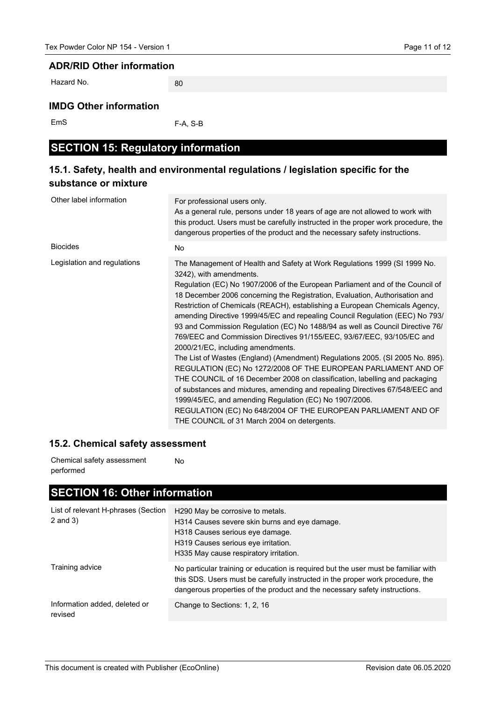#### **ADR/RID Other information**

Hazard No.

## **IMDG Other information**

EmS

F-A, S-B

80

## **SECTION 15: Regulatory information**

## **15.1. Safety, health and environmental regulations / legislation specific for the substance or mixture**

| Other label information     | For professional users only.<br>As a general rule, persons under 18 years of age are not allowed to work with<br>this product. Users must be carefully instructed in the proper work procedure, the<br>dangerous properties of the product and the necessary safety instructions.                                                                                                                                                                                                                                                                                                                                                                                                                                                                                                                                                                                                                                                                                                                                                                                                                                              |
|-----------------------------|--------------------------------------------------------------------------------------------------------------------------------------------------------------------------------------------------------------------------------------------------------------------------------------------------------------------------------------------------------------------------------------------------------------------------------------------------------------------------------------------------------------------------------------------------------------------------------------------------------------------------------------------------------------------------------------------------------------------------------------------------------------------------------------------------------------------------------------------------------------------------------------------------------------------------------------------------------------------------------------------------------------------------------------------------------------------------------------------------------------------------------|
| <b>Biocides</b>             | <b>No</b>                                                                                                                                                                                                                                                                                                                                                                                                                                                                                                                                                                                                                                                                                                                                                                                                                                                                                                                                                                                                                                                                                                                      |
| Legislation and regulations | The Management of Health and Safety at Work Regulations 1999 (SI 1999 No.<br>3242), with amendments.<br>Regulation (EC) No 1907/2006 of the European Parliament and of the Council of<br>18 December 2006 concerning the Registration, Evaluation, Authorisation and<br>Restriction of Chemicals (REACH), establishing a European Chemicals Agency,<br>amending Directive 1999/45/EC and repealing Council Regulation (EEC) No 793/<br>93 and Commission Regulation (EC) No 1488/94 as well as Council Directive 76/<br>769/EEC and Commission Directives 91/155/EEC, 93/67/EEC, 93/105/EC and<br>2000/21/EC, including amendments.<br>The List of Wastes (England) (Amendment) Regulations 2005. (SI 2005 No. 895).<br>REGULATION (EC) No 1272/2008 OF THE EUROPEAN PARLIAMENT AND OF<br>THE COUNCIL of 16 December 2008 on classification, labelling and packaging<br>of substances and mixtures, amending and repealing Directives 67/548/EEC and<br>1999/45/EC, and amending Regulation (EC) No 1907/2006.<br>REGULATION (EC) No 648/2004 OF THE EUROPEAN PARLIAMENT AND OF<br>THE COUNCIL of 31 March 2004 on detergents. |

#### **15.2. Chemical safety assessment**

No Chemical safety assessment performed

# **SECTION 16: Other information**

| List of relevant H-phrases (Section<br>$2$ and $3)$ | H290 May be corrosive to metals.<br>H314 Causes severe skin burns and eye damage.<br>H318 Causes serious eye damage.<br>H319 Causes serious eye irritation.<br>H335 May cause respiratory irritation.                                              |
|-----------------------------------------------------|----------------------------------------------------------------------------------------------------------------------------------------------------------------------------------------------------------------------------------------------------|
| Training advice                                     | No particular training or education is required but the user must be familiar with<br>this SDS. Users must be carefully instructed in the proper work procedure, the<br>dangerous properties of the product and the necessary safety instructions. |
| Information added, deleted or<br>revised            | Change to Sections: 1, 2, 16                                                                                                                                                                                                                       |